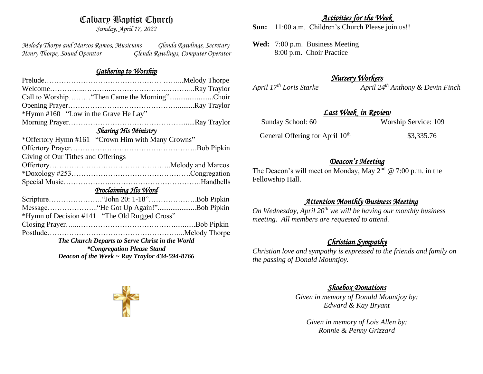# Calvary Baptist Church

*Sunday, April 17, 2022*

*Melody Thorpe and Marcos Ramos, Musicians Glenda Rawlings, Secretary Henry Thorpe, Sound Operator Glenda Rawlings, Computer Operator* 

### *Gathering to Worship*

|                                                    | Call to Worship "Then Came the Morning"Choir      |  |
|----------------------------------------------------|---------------------------------------------------|--|
|                                                    |                                                   |  |
| *Hymn #160 "Low in the Grave He Lay"               |                                                   |  |
|                                                    |                                                   |  |
| <b>Sharing His Ministry</b>                        |                                                   |  |
|                                                    | *Offertory Hymn #161 "Crown Him with Many Crowns" |  |
|                                                    |                                                   |  |
| Giving of Our Tithes and Offerings                 |                                                   |  |
|                                                    |                                                   |  |
|                                                    |                                                   |  |
|                                                    |                                                   |  |
| Proclaiming His Word                               |                                                   |  |
|                                                    |                                                   |  |
|                                                    | MessageHe Got Up Again!"Bob Pipkin                |  |
|                                                    | *Hymn of Decision #141 "The Old Rugged Cross"     |  |
|                                                    |                                                   |  |
|                                                    |                                                   |  |
| The Church Departs to Serve Christ in the World    |                                                   |  |
| <i>*Congregation Please Stand</i>                  |                                                   |  |
| Deacon of the Week $\sim$ Ray Traylor 434-594-8766 |                                                   |  |

## *Activities for the Week*

**Sun:** 11:00 a.m. Children's Church Please join us!!

**Wed:** 7:00 p.m. Business Meeting 8:00 p.m. Choir Practice

# *Nursery Workers*

*April 17th Loris Starke April 24th Anthony & Devin Finch* 

## *Last Week in Review*

| Sunday School: 60                           | Worship Service: 109 |
|---------------------------------------------|----------------------|
| General Offering for April 10 <sup>th</sup> | \$3,335.76           |

# *Deacon's Meeting*

The Deacon's will meet on Monday, May  $2<sup>nd</sup> @ 7:00$  p.m. in the Fellowship Hall.

# *Attention Monthly Business Meeting*

*On Wednesday, April 20th we will be having our monthly business meeting. All members are requested to attend.* 

# *Christian Sympathy*

*Christian love and sympathy is expressed to the friends and family on the passing of Donald Mountjoy.*

## *Shoebox Donations*

*Given in memory of Donald Mountjoy by: Edward & Kay Bryant*

*Given in memory of Lois Allen by: Ronnie & Penny Grizzard*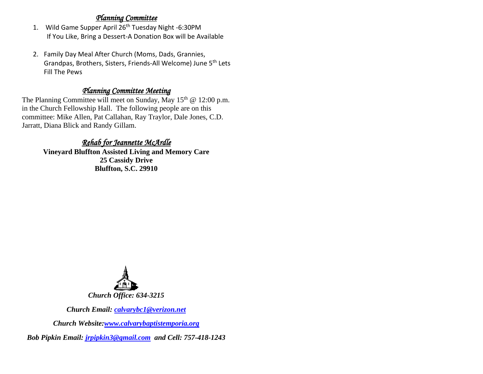### *Planning Committee*

- 1. Wild Game Supper April 26<sup>th</sup> Tuesday Night -6:30PM If You Like, Bring a Dessert-A Donation Box will be Available
- 2. Family Day Meal After Church (Moms, Dads, Grannies, Grandpas, Brothers, Sisters, Friends-All Welcome) June 5th Lets Fill The Pews

## *Planning Committee Meeting*

The Planning Committee will meet on Sunday, May  $15<sup>th</sup>$  @ 12:00 p.m. in the Church Fellowship Hall. The following people are on this committee: Mike Allen, Pat Callahan, Ray Traylor, Dale Jones, C.D. Jarratt, Diana Blick and Randy Gillam.

## *Rehab for Jeannette McArdle*

**Vineyard Bluffton Assisted Living and Memory Care 25 Cassidy Drive Bluffton, S.C. 29910**



*Church Email: [calvarybc1@verizon.net](mailto:cbcemporiaoffice@gmail.com)*

*Church Website[:www.calvarybaptistemporia.org](http://www.calvarybaptistemporia.org/)*

*Bob Pipkin Email: [jrpipkin3@gmail.com](mailto:jrpipkin3@gmail.com) and Cell: 757-418-1243*